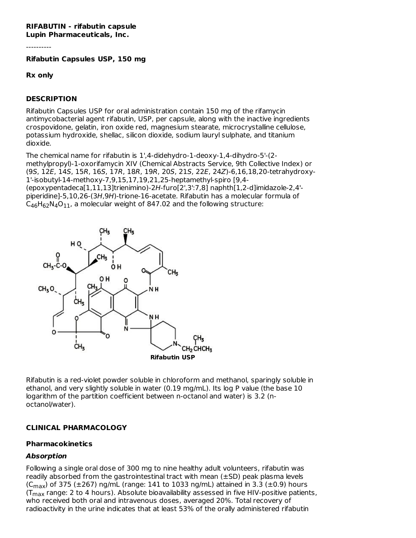#### **RIFABUTIN - rifabutin capsule Lupin Pharmaceuticals, Inc.**

----------

**Rifabutin Capsules USP, 150 mg**

#### **Rx only**

#### **DESCRIPTION**

Rifabutin Capsules USP for oral administration contain 150 mg of the rifamycin antimycobacterial agent rifabutin, USP, per capsule, along with the inactive ingredients crospovidone, gelatin, iron oxide red, magnesium stearate, microcrystalline cellulose, potassium hydroxide, shellac, silicon dioxide, sodium lauryl sulphate, and titanium dioxide.

The chemical name for rifabutin is 1',4-didehydro-1-deoxy-1,4-dihydro-5'-(2 methylpropyl)-1-oxorifamycin XIV (Chemical Abstracts Service, 9th Collective Index) or (9S, 12E, 14S, 15R, 16S, 17R, 18R, 19R, 20S, 21S, 22E, 24Z)-6,16,18,20-tetrahydroxy-1'-isobutyl-14-methoxy-7,9,15,17,19,21,25-heptamethyl-spiro [9,4- (epoxypentadeca[1,11,13]trienimino)-2H-furo[2',3':7,8] naphth[1,2-d]imidazole-2,4' piperidine]-5,10,26-(3H,9H)-trione-16-acetate. Rifabutin has a molecular formula of  $C_{46}H_{62}N_4O_{11}$ , a molecular weight of 847.02 and the following structure:



Rifabutin is a red-violet powder soluble in chloroform and methanol, sparingly soluble in ethanol, and very slightly soluble in water (0.19 mg/mL). Its log P value (the base 10 logarithm of the partition coefficient between n-octanol and water) is 3.2 (noctanol/water).

#### **CLINICAL PHARMACOLOGY**

#### **Pharmacokinetics**

#### **Absorption**

Following a single oral dose of 300 mg to nine healthy adult volunteers, rifabutin was readily absorbed from the gastrointestinal tract with mean (±SD) peak plasma levels (C<sub>max</sub>) of 375 (±267) ng/mL (range: 141 to 1033 ng/mL) attained in 3.3 (±0.9) hours (T<sub>max</sub> range: 2 to 4 hours). Absolute bioavailability assessed in five HIV-positive patients, who received both oral and intravenous doses, averaged 20%. Total recovery of radioactivity in the urine indicates that at least 53% of the orally administered rifabutin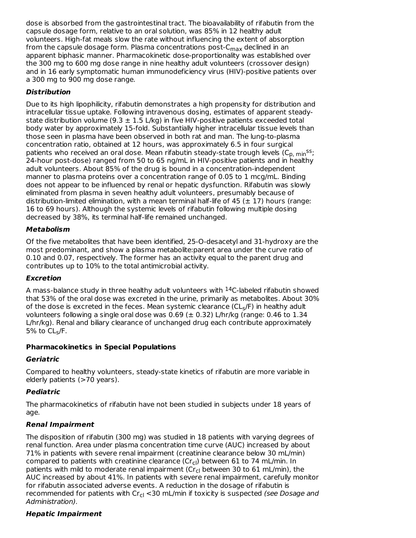dose is absorbed from the gastrointestinal tract. The bioavailability of rifabutin from the capsule dosage form, relative to an oral solution, was 85% in 12 healthy adult volunteers. High-fat meals slow the rate without influencing the extent of absorption from the capsule dosage form. Plasma concentrations post-C<sub>max</sub> declined in an apparent biphasic manner. Pharmacokinetic dose-proportionality was established over the 300 mg to 600 mg dose range in nine healthy adult volunteers (crossover design) and in 16 early symptomatic human immunodeficiency virus (HIV)-positive patients over a 300 mg to 900 mg dose range.

# **Distribution**

Due to its high lipophilicity, rifabutin demonstrates a high propensity for distribution and intracellular tissue uptake. Following intravenous dosing, estimates of apparent steadystate distribution volume (9.3  $\pm$  1.5 L/kg) in five HIV-positive patients exceeded total body water by approximately 15-fold. Substantially higher intracellular tissue levels than those seen in plasma have been observed in both rat and man. The lung-to-plasma concentration ratio, obtained at 12 hours, was approximately 6.5 in four surgical patients who received an oral dose. Mean rifabutin steady-state trough levels (C<sub>p, min</sub>ss; 24-hour post-dose) ranged from 50 to 65 ng/mL in HIV-positive patients and in healthy adult volunteers. About 85% of the drug is bound in a concentration-independent manner to plasma proteins over a concentration range of 0.05 to 1 mcg/mL. Binding does not appear to be influenced by renal or hepatic dysfunction. Rifabutin was slowly eliminated from plasma in seven healthy adult volunteers, presumably because of distribution-limited elimination, with a mean terminal half-life of 45 ( $\pm$  17) hours (range: 16 to 69 hours). Although the systemic levels of rifabutin following multiple dosing decreased by 38%, its terminal half-life remained unchanged.

# **Metabolism**

Of the five metabolites that have been identified, 25-O-desacetyl and 31-hydroxy are the most predominant, and show a plasma metabolite:parent area under the curve ratio of 0.10 and 0.07, respectively. The former has an activity equal to the parent drug and contributes up to 10% to the total antimicrobial activity.

# **Excretion**

A mass-balance study in three healthy adult volunteers with  $^{14}$ C-labeled rifabutin showed that 53% of the oral dose was excreted in the urine, primarily as metabolites. About 30% of the dose is excreted in the feces. Mean systemic clearance (CL<sub>s</sub>/F) in healthy adult volunteers following a single oral dose was  $0.69 \ (\pm 0.32)$  L/hr/kg (range: 0.46 to 1.34 L/hr/kg). Renal and biliary clearance of unchanged drug each contribute approximately 5% to  $\mathsf{CL}_{\mathsf{S}}\mathsf{/F}.$ 

# **Pharmacokinetics in Special Populations**

# **Geriatric**

Compared to healthy volunteers, steady-state kinetics of rifabutin are more variable in elderly patients (>70 years).

# **Pediatric**

The pharmacokinetics of rifabutin have not been studied in subjects under 18 years of age.

# **Renal Impairment**

The disposition of rifabutin (300 mg) was studied in 18 patients with varying degrees of renal function. Area under plasma concentration time curve (AUC) increased by about 71% in patients with severe renal impairment (creatinine clearance below 30 mL/min) compared to patients with creatinine clearance (Cr<sub>cl</sub>) between 61 to 74 mL/min. In patients with mild to moderate renal impairment (Cr<sub>cl</sub> between 30 to 61 mL/min), the AUC increased by about 41%. In patients with severe renal impairment, carefully monitor for rifabutin associated adverse events. A reduction in the dosage of rifabutin is recommended for patients with Cr<sub>cl</sub> <30 mL/min if toxicity is suspected *(see Dosage and* Administration).

# **Hepatic Impairment**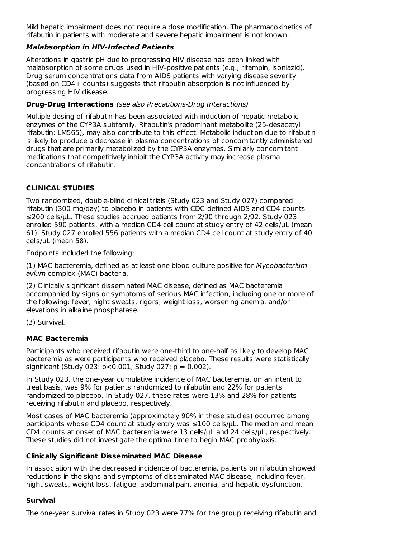Mild hepatic impairment does not require a dose modification. The pharmacokinetics of rifabutin in patients with moderate and severe hepatic impairment is not known.

### **Malabsorption in HIV-Infected Patients**

Alterations in gastric pH due to progressing HIV disease has been linked with malabsorption of some drugs used in HIV-positive patients (e.g., rifampin, isoniazid). Drug serum concentrations data from AIDS patients with varying disease severity (based on CD4+ counts) suggests that rifabutin absorption is not influenced by progressing HIV disease.

### **Drug-Drug Interactions** (see also Precautions-Drug Interactions)

Multiple dosing of rifabutin has been associated with induction of hepatic metabolic enzymes of the CYP3A subfamily. Rifabutin's predominant metabolite (25-desacetyl rifabutin: LM565), may also contribute to this effect. Metabolic induction due to rifabutin is likely to produce a decrease in plasma concentrations of concomitantly administered drugs that are primarily metabolized by the CYP3A enzymes. Similarly concomitant medications that competitively inhibit the CYP3A activity may increase plasma concentrations of rifabutin.

# **CLINICAL STUDIES**

Two randomized, double-blind clinical trials (Study 023 and Study 027) compared rifabutin (300 mg/day) to placebo in patients with CDC-defined AIDS and CD4 counts ≤200 cells/µL. These studies accrued patients from 2/90 through 2/92. Study 023 enrolled 590 patients, with a median CD4 cell count at study entry of 42 cells/µL (mean 61). Study 027 enrolled 556 patients with a median CD4 cell count at study entry of 40 cells/µL (mean 58).

Endpoints included the following:

(1) MAC bacteremia, defined as at least one blood culture positive for Mycobacterium avium complex (MAC) bacteria.

(2) Clinically significant disseminated MAC disease, defined as MAC bacteremia accompanied by signs or symptoms of serious MAC infection, including one or more of the following: fever, night sweats, rigors, weight loss, worsening anemia, and/or elevations in alkaline phosphatase.

(3) Survival.

# **MAC Bacteremia**

Participants who received rifabutin were one-third to one-half as likely to develop MAC bacteremia as were participants who received placebo. These results were statistically significant (Study 023:  $p < 0.001$ ; Study 027:  $p = 0.002$ ).

In Study 023, the one-year cumulative incidence of MAC bacteremia, on an intent to treat basis, was 9% for patients randomized to rifabutin and 22% for patients randomized to placebo. In Study 027, these rates were 13% and 28% for patients receiving rifabutin and placebo, respectively.

Most cases of MAC bacteremia (approximately 90% in these studies) occurred among participants whose CD4 count at study entry was ≤100 cells/µL. The median and mean CD4 counts at onset of MAC bacteremia were 13 cells/µL and 24 cells/µL, respectively. These studies did not investigate the optimal time to begin MAC prophylaxis.

# **Clinically Significant Disseminated MAC Disease**

In association with the decreased incidence of bacteremia, patients on rifabutin showed reductions in the signs and symptoms of disseminated MAC disease, including fever, night sweats, weight loss, fatigue, abdominal pain, anemia, and hepatic dysfunction.

# **Survival**

The one-year survival rates in Study 023 were 77% for the group receiving rifabutin and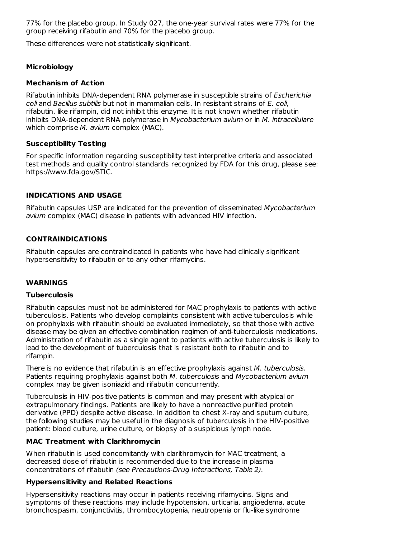77% for the placebo group. In Study 027, the one-year survival rates were 77% for the group receiving rifabutin and 70% for the placebo group.

These differences were not statistically significant.

### **Microbiology**

#### **Mechanism of Action**

Rifabutin inhibits DNA-dependent RNA polymerase in susceptible strains of Escherichia coli and Bacillus subtilis but not in mammalian cells. In resistant strains of E. coli, rifabutin, like rifampin, did not inhibit this enzyme. It is not known whether rifabutin inhibits DNA-dependent RNA polymerase in Mycobacterium avium or in M. intracellulare which comprise M. avium complex (MAC).

### **Susceptibility Testing**

For specific information regarding susceptibility test interpretive criteria and associated test methods and quality control standards recognized by FDA for this drug, please see: https://www.fda.gov/STIC.

### **INDICATIONS AND USAGE**

Rifabutin capsules USP are indicated for the prevention of disseminated Mycobacterium avium complex (MAC) disease in patients with advanced HIV infection.

### **CONTRAINDICATIONS**

Rifabutin capsules are contraindicated in patients who have had clinically significant hypersensitivity to rifabutin or to any other rifamycins.

### **WARNINGS**

#### **Tuberculosis**

Rifabutin capsules must not be administered for MAC prophylaxis to patients with active tuberculosis. Patients who develop complaints consistent with active tuberculosis while on prophylaxis with rifabutin should be evaluated immediately, so that those with active disease may be given an effective combination regimen of anti-tuberculosis medications. Administration of rifabutin as a single agent to patients with active tuberculosis is likely to lead to the development of tuberculosis that is resistant both to rifabutin and to rifampin.

There is no evidence that rifabutin is an effective prophylaxis against M. tuberculosis. Patients requiring prophylaxis against both M. tuberculosis and Mycobacterium avium complex may be given isoniazid and rifabutin concurrently.

Tuberculosis in HIV-positive patients is common and may present with atypical or extrapulmonary findings. Patients are likely to have a nonreactive purified protein derivative (PPD) despite active disease. In addition to chest X-ray and sputum culture, the following studies may be useful in the diagnosis of tuberculosis in the HIV-positive patient: blood culture, urine culture, or biopsy of a suspicious lymph node.

### **MAC Treatment with Clarithromycin**

When rifabutin is used concomitantly with clarithromycin for MAC treatment, a decreased dose of rifabutin is recommended due to the increase in plasma concentrations of rifabutin (see Precautions-Drug Interactions, Table 2).

### **Hypersensitivity and Related Reactions**

Hypersensitivity reactions may occur in patients receiving rifamycins. Signs and symptoms of these reactions may include hypotension, urticaria, angioedema, acute bronchospasm, conjunctivitis, thrombocytopenia, neutropenia or flu-like syndrome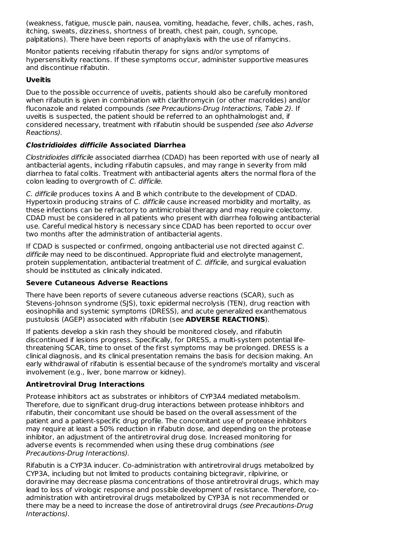(weakness, fatigue, muscle pain, nausea, vomiting, headache, fever, chills, aches, rash, itching, sweats, dizziness, shortness of breath, chest pain, cough, syncope, palpitations). There have been reports of anaphylaxis with the use of rifamycins.

Monitor patients receiving rifabutin therapy for signs and/or symptoms of hypersensitivity reactions. If these symptoms occur, administer supportive measures and discontinue rifabutin.

# **Uveitis**

Due to the possible occurrence of uveitis, patients should also be carefully monitored when rifabutin is given in combination with clarithromycin (or other macrolides) and/or fluconazole and related compounds (see Precautions-Drug Interactions, Table 2). If uveitis is suspected, the patient should be referred to an ophthalmologist and, if considered necessary, treatment with rifabutin should be suspended (see also Adverse Reactions).

### **Clostridioides difficile Associated Diarrhea**

Clostridioides difficile associated diarrhea (CDAD) has been reported with use of nearly all antibacterial agents, including rifabutin capsules, and may range in severity from mild diarrhea to fatal colitis. Treatment with antibacterial agents alters the normal flora of the colon leading to overgrowth of C. difficile.

C. difficile produces toxins A and B which contribute to the development of CDAD. Hypertoxin producing strains of C. difficile cause increased morbidity and mortality, as these infections can be refractory to antimicrobial therapy and may require colectomy. CDAD must be considered in all patients who present with diarrhea following antibacterial use. Careful medical history is necessary since CDAD has been reported to occur over two months after the administration of antibacterial agents.

If CDAD is suspected or confirmed, ongoing antibacterial use not directed against C. difficile may need to be discontinued. Appropriate fluid and electrolyte management, protein supplementation, antibacterial treatment of C. difficile, and surgical evaluation should be instituted as clinically indicated.

### **Severe Cutaneous Adverse Reactions**

There have been reports of severe cutaneous adverse reactions (SCAR), such as Stevens-Johnson syndrome (SJS), toxic epidermal necrolysis (TEN), drug reaction with eosinophilia and systemic symptoms (DRESS), and acute generalized exanthematous pustulosis (AGEP) associated with rifabutin (see **ADVERSE REACTIONS**).

If patients develop a skin rash they should be monitored closely, and rifabutin discontinued if lesions progress. Specifically, for DRESS, a multi-system potential lifethreatening SCAR, time to onset of the first symptoms may be prolonged. DRESS is a clinical diagnosis, and its clinical presentation remains the basis for decision making. An early withdrawal of rifabutin is essential because of the syndrome's mortality and visceral involvement (e.g., liver, bone marrow or kidney).

# **Antiretroviral Drug Interactions**

Protease inhibitors act as substrates or inhibitors of CYP3A4 mediated metabolism. Therefore, due to significant drug-drug interactions between protease inhibitors and rifabutin, their concomitant use should be based on the overall assessment of the patient and a patient-specific drug profile. The concomitant use of protease inhibitors may require at least a 50% reduction in rifabutin dose, and depending on the protease inhibitor, an adjustment of the antiretroviral drug dose. Increased monitoring for adverse events is recommended when using these drug combinations (see Precautions-Drug Interactions).

Rifabutin is a CYP3A inducer. Co-administration with antiretroviral drugs metabolized by CYP3A, including but not limited to products containing bictegravir, rilpivirine, or doravirine may decrease plasma concentrations of those antiretroviral drugs, which may lead to loss of virologic response and possible development of resistance. Therefore, coadministration with antiretroviral drugs metabolized by CYP3A is not recommended or there may be a need to increase the dose of antiretroviral drugs (see Precautions-Drug Interactions).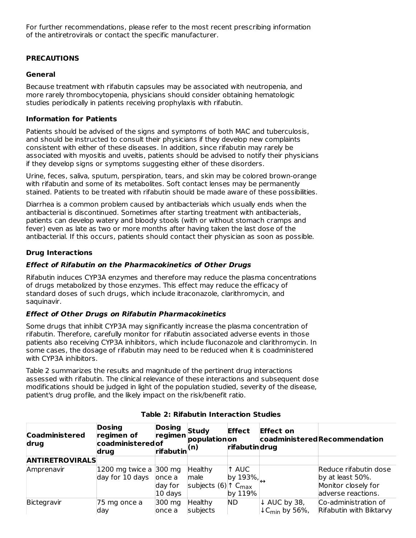For further recommendations, please refer to the most recent prescribing information of the antiretrovirals or contact the specific manufacturer.

# **PRECAUTIONS**

### **General**

Because treatment with rifabutin capsules may be associated with neutropenia, and more rarely thrombocytopenia, physicians should consider obtaining hematologic studies periodically in patients receiving prophylaxis with rifabutin.

### **Information for Patients**

Patients should be advised of the signs and symptoms of both MAC and tuberculosis, and should be instructed to consult their physicians if they develop new complaints consistent with either of these diseases. In addition, since rifabutin may rarely be associated with myositis and uveitis, patients should be advised to notify their physicians if they develop signs or symptoms suggesting either of these disorders.

Urine, feces, saliva, sputum, perspiration, tears, and skin may be colored brown-orange with rifabutin and some of its metabolites. Soft contact lenses may be permanently stained. Patients to be treated with rifabutin should be made aware of these possibilities.

Diarrhea is a common problem caused by antibacterials which usually ends when the antibacterial is discontinued. Sometimes after starting treatment with antibacterials, patients can develop watery and bloody stools (with or without stomach cramps and fever) even as late as two or more months after having taken the last dose of the antibacterial. If this occurs, patients should contact their physician as soon as possible.

# **Drug Interactions**

# **Effect of Rifabutin on the Pharmacokinetics of Other Drugs**

Rifabutin induces CYP3A enzymes and therefore may reduce the plasma concentrations of drugs metabolized by those enzymes. This effect may reduce the efficacy of standard doses of such drugs, which include itraconazole, clarithromycin, and saquinavir.

# **Effect of Other Drugs on Rifabutin Pharmacokinetics**

Some drugs that inhibit CYP3A may significantly increase the plasma concentration of rifabutin. Therefore, carefully monitor for rifabutin associated adverse events in those patients also receiving CYP3A inhibitors, which include fluconazole and clarithromycin. In some cases, the dosage of rifabutin may need to be reduced when it is coadministered with CYP3A inhibitors.

Table 2 summarizes the results and magnitude of the pertinent drug interactions assessed with rifabutin. The clinical relevance of these interactions and subsequent dose modifications should be judged in light of the population studied, severity of the disease, patient's drug profile, and the likely impact on the risk/benefit ratio.

| <b>Coadministered</b><br>drug | <b>Dosing</b><br>regimen of<br>coadministeredof<br>drug  | <b>Dosing</b><br> rifabutin <sup> (n)</sup> | Study<br>$ regimen $ populationon                           | <b>Effect</b><br>rifabutindrug | <b>Effect on</b>                                      | coadministeredRecommendation                                                           |
|-------------------------------|----------------------------------------------------------|---------------------------------------------|-------------------------------------------------------------|--------------------------------|-------------------------------------------------------|----------------------------------------------------------------------------------------|
| <b>ANTIRETROVIRALS</b>        |                                                          |                                             |                                                             |                                |                                                       |                                                                                        |
| Amprenavir                    | 1200 mg twice a 300 mg<br>day for 10 days $\vert$ once a | day for<br>10 days                          | Healthy<br>male<br>subjects (6) $\uparrow$ C <sub>max</sub> | 1 AUC<br>by 193%,<br>by 119%   |                                                       | Reduce rifabutin dose<br>by at least 50%.<br>Monitor closely for<br>adverse reactions. |
| Bictegravir                   | 75 mg once a<br>lday                                     | 300 mg<br>once a                            | Healthy<br>subjects                                         | ND.                            | ↓ AUC by 38,<br>$\downarrow$ C <sub>min</sub> by 56%, | Co-administration of<br>Rifabutin with Biktarvy                                        |

# **Table 2: Rifabutin Interaction Studies**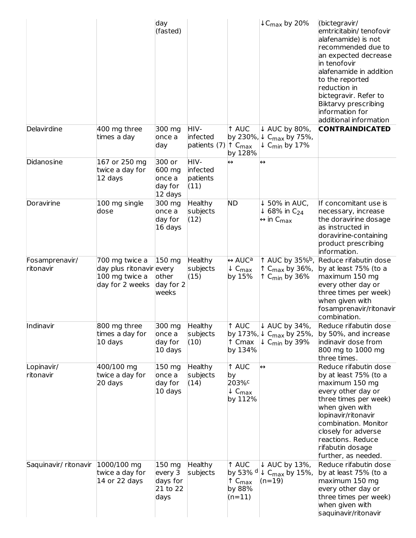|                             |                                                                                 | day<br>(fasted)                                   |                                      |                                                                               | $LC_{\text{max}}$ by 20%                                                                                 | (bictegravir/<br>emtricitabin/tenofovir<br>alafenamide) is not<br>recommended due to<br>an expected decrease<br>in tenofovir<br>alafenamide in addition<br>to the reported<br>reduction in<br>bictegravir. Refer to<br>Biktarvy prescribing<br>information for<br>additional information |
|-----------------------------|---------------------------------------------------------------------------------|---------------------------------------------------|--------------------------------------|-------------------------------------------------------------------------------|----------------------------------------------------------------------------------------------------------|------------------------------------------------------------------------------------------------------------------------------------------------------------------------------------------------------------------------------------------------------------------------------------------|
| Delavirdine                 | 400 mg three<br>times a day                                                     | 300 mg<br>once a<br>day                           | HIV-<br>infected<br>patients (7)     | 1 AUC<br>by 230%,<br>$\uparrow$ C <sub>max</sub><br>by 128%                   | ↓ AUC by 80%,<br>$\downarrow$ C <sub>max</sub> by 75%,<br>$\downarrow$ C <sub>min</sub> by 17%           | <b>CONTRAINDICATED</b>                                                                                                                                                                                                                                                                   |
| Didanosine                  | 167 or 250 mg<br>twice a day for<br>12 days                                     | 300 or<br>600 mg<br>once a<br>day for<br>12 days  | HIV-<br>infected<br>patients<br>(11) | $\leftrightarrow$                                                             | $\leftrightarrow$                                                                                        |                                                                                                                                                                                                                                                                                          |
| Doravirine                  | 100 mg single<br>dose                                                           | 300 mg<br>once a<br>day for<br>16 days            | <b>Healthy</b><br>subjects<br>(12)   | <b>ND</b>                                                                     | ↓ 50% in AUC,<br>$\downarrow$ 68% in C <sub>24</sub><br>$\leftrightarrow$ in C <sub>max</sub>            | If concomitant use is<br>necessary, increase<br>the doravirine dosage<br>as instructed in<br>doravirine-containing<br>product prescribing<br>information.                                                                                                                                |
| Fosamprenavir/<br>ritonavir | 700 mg twice a<br>day plus ritonavir every<br>100 mg twice a<br>day for 2 weeks | 150 mg<br>other<br>day for 2<br>weeks             | <b>Healthy</b><br>subjects<br>(15)   | $\leftrightarrow$ AUC <sup>a</sup><br>$\downarrow$ C <sub>max</sub><br>by 15% | 1 AUC by 35% <sup>b</sup> ,<br>$\uparrow$ C <sub>max</sub> by 36%,<br>$\uparrow$ C <sub>min</sub> by 36% | Reduce rifabutin dose<br>by at least 75% (to a<br>maximum 150 mg<br>every other day or<br>three times per week)<br>when given with<br>fosamprenavir/ritonavir<br>combination.                                                                                                            |
| Indinavir                   | 800 mg three<br>times a day for<br>10 days                                      | 300 mg<br>once a<br>day for<br>10 days            | Healthy<br>subjects<br>(10)          | 1 AUC<br>↑ Cmax<br>by 134%                                                    | ↓ AUC by 34%,<br>by 173%, $\downarrow$ C <sub>max</sub> by 25%,<br>$\downarrow$ C <sub>min</sub> by 39%  | Reduce rifabutin dose<br>by 50%, and increase<br>indinavir dose from<br>800 mg to 1000 mg<br>three times.                                                                                                                                                                                |
| Lopinavir/<br>ritonavir     | 400/100 mg<br>twice a day for<br>20 days                                        | 150 mg<br>once a<br>day for<br>10 days            | <b>Healthy</b><br>subjects<br>(14)   | 1 AUC<br>by<br>203% <sup>c</sup><br>$\downarrow$ C <sub>max</sub><br>by 112%  | $\leftrightarrow$                                                                                        | Reduce rifabutin dose<br>by at least 75% (to a<br>maximum 150 mg<br>every other day or<br>three times per week)<br>when given with<br>lopinavir/ritonavir<br>combination. Monitor<br>closely for adverse<br>reactions. Reduce<br>rifabutin dosage<br>further, as needed.                 |
| Saquinavir/ritonavir        | 1000/100 mg<br>twice a day for<br>14 or 22 days                                 | 150 mg<br>every 3<br>days for<br>21 to 22<br>days | <b>Healthy</b><br>subjects           | 1 AUC<br>by 53% d<br>$\uparrow$ $C_{\text{max}}$<br>by 88%<br>$(n=11)$        | ↓ AUC by 13%,<br>$\downarrow$ C <sub>max</sub> by 15%,<br>$(n=19)$                                       | Reduce rifabutin dose<br>by at least 75% (to a<br>maximum 150 mg<br>every other day or<br>three times per week)<br>when given with<br>saquinavir/ritonavir                                                                                                                               |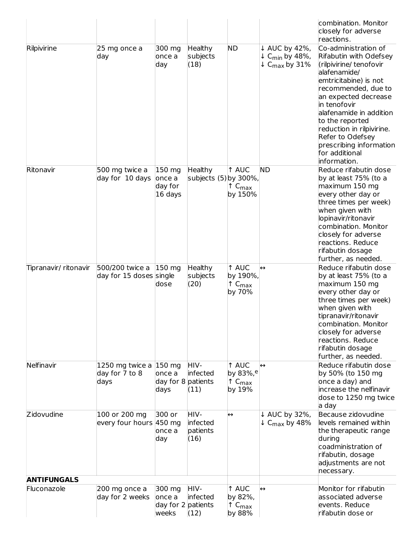|                       |                                                     |                                                 |                                         |                                                                        |                                                                                                | combination. Monitor<br>closely for adverse<br>reactions.                                                                                                                                                                                                                                                                                    |
|-----------------------|-----------------------------------------------------|-------------------------------------------------|-----------------------------------------|------------------------------------------------------------------------|------------------------------------------------------------------------------------------------|----------------------------------------------------------------------------------------------------------------------------------------------------------------------------------------------------------------------------------------------------------------------------------------------------------------------------------------------|
| Rilpivirine           | 25 mg once a<br>day                                 | 300 mg<br>once a<br>day                         | <b>Healthy</b><br>subjects<br>(18)      | <b>ND</b>                                                              | ↓ AUC by 42%,<br>$\downarrow$ C <sub>min</sub> by 48%,<br>$\downarrow$ C <sub>max</sub> by 31% | Co-administration of<br>Rifabutin with Odefsey<br>(rilpivirine/tenofovir<br>alafenamide/<br>emtricitabine) is not<br>recommended, due to<br>an expected decrease<br>in tenofovir<br>alafenamide in addition<br>to the reported<br>reduction in rilpivirine.<br>Refer to Odefsey<br>prescribing information<br>for additional<br>information. |
| Ritonavir             | 500 mg twice a<br>day for 10 days                   | 150 mg<br>once a<br>day for<br>16 days          | <b>Healthy</b><br>subjects (5) by 300%, | 1 AUC<br>$\uparrow$ C <sub>max</sub><br>by 150%                        | <b>ND</b>                                                                                      | Reduce rifabutin dose<br>by at least 75% (to a<br>maximum 150 mg<br>every other day or<br>three times per week)<br>when given with<br>lopinavir/ritonavir<br>combination. Monitor<br>closely for adverse<br>reactions. Reduce<br>rifabutin dosage<br>further, as needed.                                                                     |
| Tipranavir/ ritonavir | 500/200 twice a 150 mg<br>day for 15 doses single   | dose                                            | <b>Healthy</b><br>subjects<br>(20)      | 1 AUC<br>by 190%,<br>$\uparrow$ $C_{\text{max}}$<br>by 70%             | $\leftrightarrow$                                                                              | Reduce rifabutin dose<br>by at least 75% (to a<br>maximum 150 mg<br>every other day or<br>three times per week)<br>when given with<br>tipranavir/ritonavir<br>combination. Monitor<br>closely for adverse<br>reactions. Reduce<br>rifabutin dosage<br>further, as needed.                                                                    |
| Nelfinavir            | 1250 mg twice a $ 150$ mg<br>day for 7 to 8<br>days | once a<br>day for 8 patients<br>days            | HIV-<br>infected<br>(11)                | 1 AUC<br>by 83%, <sup>e</sup><br>$\uparrow$ C <sub>max</sub><br>by 19% | $\leftrightarrow$                                                                              | Reduce rifabutin dose<br>by 50% (to 150 mg<br>once a day) and<br>increase the nelfinavir<br>dose to 1250 mg twice<br>a day                                                                                                                                                                                                                   |
| Zidovudine            | 100 or 200 mg<br>every four hours 450 mg            | 300 or<br>once a<br>day                         | HIV-<br>infected<br>patients<br>(16)    | $\leftrightarrow$                                                      | ↓ AUC by 32%,<br>$\downarrow$ C <sub>max</sub> by 48%                                          | Because zidovudine<br>levels remained within<br>the therapeutic range<br>during<br>coadministration of<br>rifabutin, dosage<br>adjustments are not<br>necessary.                                                                                                                                                                             |
| <b>ANTIFUNGALS</b>    |                                                     |                                                 |                                         |                                                                        |                                                                                                |                                                                                                                                                                                                                                                                                                                                              |
| Fluconazole           | 200 mg once a<br>day for 2 weeks                    | 300 mg<br>once a<br>day for 2 patients<br>weeks | HIV-<br>infected<br>(12)                | 1 AUC<br>by 82%,<br>$\uparrow$ C <sub>max</sub><br>by 88%              | $\leftrightarrow$                                                                              | Monitor for rifabutin<br>associated adverse<br>events. Reduce<br>rifabutin dose or                                                                                                                                                                                                                                                           |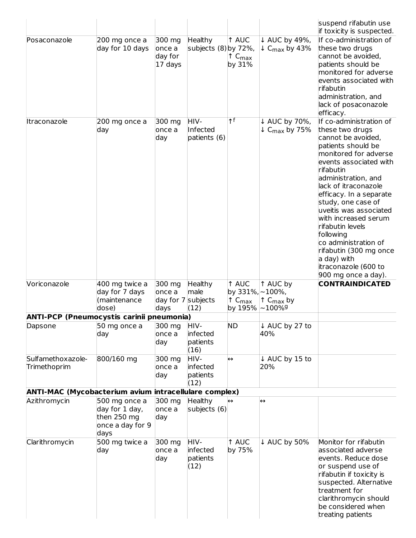| Posaconazole                                                 | 200 mg once a<br>day for 10 days                                           | 300 mg<br>once a<br>day for<br>17 days | Healthy<br>subjects (8) by 72%,      | 1 AUC<br>$\uparrow$ C <sub>max</sub><br>by 31%          | ↓ AUC by 49%,<br>$\downarrow$ C <sub>max</sub> by 43% | suspend rifabutin use<br>if toxicity is suspected.<br>If co-administration of<br>these two drugs<br>cannot be avoided,<br>patients should be<br>monitored for adverse<br>events associated with<br>rifabutin<br>administration, and<br>lack of posaconazole<br>efficacy.                                                                                                                                                                                  |
|--------------------------------------------------------------|----------------------------------------------------------------------------|----------------------------------------|--------------------------------------|---------------------------------------------------------|-------------------------------------------------------|-----------------------------------------------------------------------------------------------------------------------------------------------------------------------------------------------------------------------------------------------------------------------------------------------------------------------------------------------------------------------------------------------------------------------------------------------------------|
| Itraconazole                                                 | 200 mg once a<br>day                                                       | 300 mg<br>once a<br>day                | HIV-<br>Infected<br>patients (6)     | $\uparrow$ f                                            | ↓ AUC by 70%,<br>$\downarrow$ C <sub>max</sub> by 75% | If co-administration of<br>these two drugs<br>cannot be avoided,<br>patients should be<br>monitored for adverse<br>events associated with<br>rifabutin<br>administration, and<br>lack of itraconazole<br>efficacy. In a separate<br>study, one case of<br>uveitis was associated<br>with increased serum<br>rifabutin levels<br>following<br>co administration of<br>rifabutin (300 mg once<br>a day) with<br>itraconazole (600 to<br>900 mg once a day). |
| Voriconazole                                                 | 400 mg twice a<br>day for 7 days<br>(maintenance                           | 300 mg<br>once a<br>day for 7 subjects | Healthy<br>male                      | 1 AUC<br>by 331%, ~100%,<br>$\uparrow$ C <sub>max</sub> | 1 AUC by<br>$\uparrow$ C <sub>max</sub> by            | <b>CONTRAINDICATED</b>                                                                                                                                                                                                                                                                                                                                                                                                                                    |
|                                                              | dose)                                                                      | days                                   | (12)                                 | by 195%                                                 | $\sim$ 100% $^{\rm g}$                                |                                                                                                                                                                                                                                                                                                                                                                                                                                                           |
| <b>ANTI-PCP (Pneumocystis carinii pneumonia)</b>             |                                                                            |                                        |                                      |                                                         |                                                       |                                                                                                                                                                                                                                                                                                                                                                                                                                                           |
| Dapsone                                                      | 50 mg once a<br>day                                                        | 300 mg<br>once a<br>day                | HIV-<br>infected<br>patients<br>(16) | <b>ND</b>                                               | ↓ AUC by 27 to<br>40%                                 |                                                                                                                                                                                                                                                                                                                                                                                                                                                           |
| Sulfamethoxazole-<br>Trimethoprim                            | 800/160 mg                                                                 | 300 mg<br>once a<br>day                | HIV-<br>infected<br>patients<br>(12) | $\leftrightarrow$                                       | ↓ AUC by 15 to<br>20%                                 |                                                                                                                                                                                                                                                                                                                                                                                                                                                           |
| <b>ANTI-MAC (Mycobacterium avium intracellulare complex)</b> |                                                                            |                                        |                                      |                                                         |                                                       |                                                                                                                                                                                                                                                                                                                                                                                                                                                           |
| Azithromycin                                                 | 500 mg once a<br>day for 1 day,<br>then 250 mg<br>once a day for 9<br>days | 300 mg<br>once a<br>day                | Healthy<br>subjects (6)              | $\leftrightarrow$                                       | $\leftrightarrow$                                     |                                                                                                                                                                                                                                                                                                                                                                                                                                                           |
| Clarithromycin                                               | 500 mg twice a<br>day                                                      | 300 mg<br>once a<br>day                | HIV-<br>infected<br>patients<br>(12) | 1 AUC<br>by 75%                                         | ↓ AUC by 50%                                          | Monitor for rifabutin<br>associated adverse<br>events. Reduce dose<br>or suspend use of<br>rifabutin if toxicity is<br>suspected. Alternative<br>treatment for<br>clarithromycin should<br>be considered when<br>treating patients                                                                                                                                                                                                                        |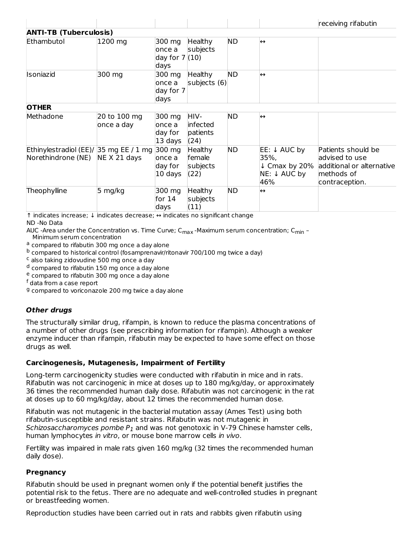|                                                                     |                            |                                              |                                              |           |                                                                                    | receiving rifabutin                                                                               |
|---------------------------------------------------------------------|----------------------------|----------------------------------------------|----------------------------------------------|-----------|------------------------------------------------------------------------------------|---------------------------------------------------------------------------------------------------|
| <b>ANTI-TB (Tuberculosis)</b>                                       |                            |                                              |                                              |           |                                                                                    |                                                                                                   |
| Ethambutol                                                          | 1200 mg                    | 300 mg<br>lonce a<br>day for $7(10)$<br>days | <b>Healthy</b><br>subjects                   | <b>ND</b> | $\leftrightarrow$                                                                  |                                                                                                   |
| Isoniazid                                                           | 300 mg                     | 300 mg<br>lonce a<br>day for 7<br>days       | <b>Healthy</b><br>subjects (6)               | <b>ND</b> | $\leftrightarrow$                                                                  |                                                                                                   |
| <b>OTHER</b>                                                        |                            |                                              |                                              |           |                                                                                    |                                                                                                   |
| Methadone                                                           | 20 to 100 mg<br>once a day | 300 mg<br>lonce a<br>day for<br>13 days      | HIV-<br>infected<br>patients<br>(24)         | <b>ND</b> | $\leftrightarrow$                                                                  |                                                                                                   |
| Ethinylestradiol (EE)/ 35 mg EE / 1 mg 300 mg<br>Norethindrone (NE) | NE X 21 days               | lonce a<br>day for<br>10 days                | <b>Healthy</b><br>female<br>subjects<br>(22) | <b>ND</b> | $EE: \downarrow AUC$ by<br>35%,<br>$\downarrow$ Cmax by 20%<br>NE: ↓ AUC by<br>46% | Patients should be<br>advised to use<br>additional or alternative<br>methods of<br>contraception. |
| Theophylline                                                        | 5 mg/kg                    | 300 mg<br>for $14$<br>days                   | <b>Healthy</b><br>subjects<br>(11)           | <b>ND</b> | $\leftrightarrow$                                                                  |                                                                                                   |

↑ indicates increase; ↓ indicates decrease; ↔ indicates no significant change ND -No Data

AUC -Area under the Concentration vs. Time Curve; C<sub>max</sub> -Maximum serum concentration; C<sub>min</sub> –

Minimum serum concentration <sup>a</sup> compared to rifabutin 300 mg once a day alone

<sup>b</sup> compared to historical control (fosamprenavir/ritonavir 700/100 mg twice a day)

<sup>c</sup> also taking zidovudine 500 mg once a day

 $^{\text{d}}$  compared to rifabutin 150 mg once a day alone

<sup>e</sup> compared to rifabutin 300 mg once a day alone

<sup>f</sup> data from a case report

<sup>g</sup> compared to voriconazole 200 mg twice a day alone

# **Other drugs**

The structurally similar drug, rifampin, is known to reduce the plasma concentrations of a number of other drugs (see prescribing information for rifampin). Although a weaker enzyme inducer than rifampin, rifabutin may be expected to have some effect on those drugs as well.

# **Carcinogenesis, Mutagenesis, Impairment of Fertility**

Long-term carcinogenicity studies were conducted with rifabutin in mice and in rats. Rifabutin was not carcinogenic in mice at doses up to 180 mg/kg/day, or approximately 36 times the recommended human daily dose. Rifabutin was not carcinogenic in the rat at doses up to 60 mg/kg/day, about 12 times the recommended human dose.

Rifabutin was not mutagenic in the bacterial mutation assay (Ames Test) using both rifabutin-susceptible and resistant strains. Rifabutin was not mutagenic in *Schizosaccharomyces pombe*  $P_{1}$  and was not genotoxic in V-79 Chinese hamster cells, human lymphocytes *in vitro*, or mouse bone marrow cells *in vivo*.

Fertility was impaired in male rats given 160 mg/kg (32 times the recommended human daily dose).

# **Pregnancy**

Rifabutin should be used in pregnant women only if the potential benefit justifies the potential risk to the fetus. There are no adequate and well-controlled studies in pregnant or breastfeeding women.

Reproduction studies have been carried out in rats and rabbits given rifabutin using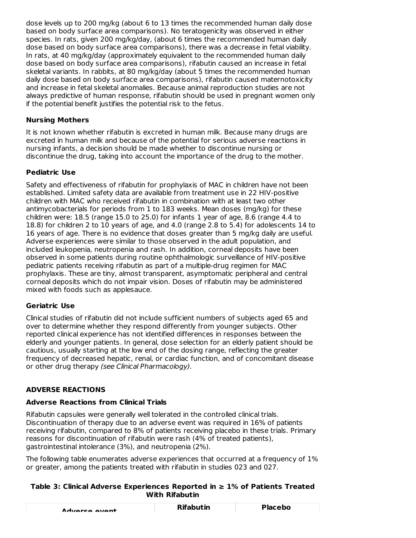dose levels up to 200 mg/kg (about 6 to 13 times the recommended human daily dose based on body surface area comparisons). No teratogenicity was observed in either species. In rats, given 200 mg/kg/day, (about 6 times the recommended human daily dose based on body surface area comparisons), there was a decrease in fetal viability. In rats, at 40 mg/kg/day (approximately equivalent to the recommended human daily dose based on body surface area comparisons), rifabutin caused an increase in fetal skeletal variants. In rabbits, at 80 mg/kg/day (about 5 times the recommended human daily dose based on body surface area comparisons), rifabutin caused maternotoxicity and increase in fetal skeletal anomalies. Because animal reproduction studies are not always predictive of human response, rifabutin should be used in pregnant women only if the potential benefit justifies the potential risk to the fetus.

# **Nursing Mothers**

It is not known whether rifabutin is excreted in human milk. Because many drugs are excreted in human milk and because of the potential for serious adverse reactions in nursing infants, a decision should be made whether to discontinue nursing or discontinue the drug, taking into account the importance of the drug to the mother.

# **Pediatric Use**

Safety and effectiveness of rifabutin for prophylaxis of MAC in children have not been established. Limited safety data are available from treatment use in 22 HIV-positive children with MAC who received rifabutin in combination with at least two other antimycobacterials for periods from 1 to 183 weeks. Mean doses (mg/kg) for these children were: 18.5 (range 15.0 to 25.0) for infants 1 year of age, 8.6 (range 4.4 to 18.8) for children 2 to 10 years of age, and 4.0 (range 2.8 to 5.4) for adolescents 14 to 16 years of age. There is no evidence that doses greater than 5 mg/kg daily are useful. Adverse experiences were similar to those observed in the adult population, and included leukopenia, neutropenia and rash. In addition, corneal deposits have been observed in some patients during routine ophthalmologic surveillance of HIV-positive pediatric patients receiving rifabutin as part of a multiple-drug regimen for MAC prophylaxis. These are tiny, almost transparent, asymptomatic peripheral and central corneal deposits which do not impair vision. Doses of rifabutin may be administered mixed with foods such as applesauce.

# **Geriatric Use**

Clinical studies of rifabutin did not include sufficient numbers of subjects aged 65 and over to determine whether they respond differently from younger subjects. Other reported clinical experience has not identified differences in responses between the elderly and younger patients. In general, dose selection for an elderly patient should be cautious, usually starting at the low end of the dosing range, reflecting the greater frequency of decreased hepatic, renal, or cardiac function, and of concomitant disease or other drug therapy (see Clinical Pharmacology).

# **ADVERSE REACTIONS**

# **Adverse Reactions from Clinical Trials**

Rifabutin capsules were generally well tolerated in the controlled clinical trials. Discontinuation of therapy due to an adverse event was required in 16% of patients receiving rifabutin, compared to 8% of patients receiving placebo in these trials. Primary reasons for discontinuation of rifabutin were rash (4% of treated patients), gastrointestinal intolerance (3%), and neutropenia (2%).

The following table enumerates adverse experiences that occurred at a frequency of 1% or greater, among the patients treated with rifabutin in studies 023 and 027.

### **Table 3: Clinical Adverse Experiences Reported in ≥ 1% of Patients Treated With Rifabutin**

| Advarce ovent | <b>Rifabutin</b> | <b>Placebo</b> |  |  |
|---------------|------------------|----------------|--|--|
|               |                  |                |  |  |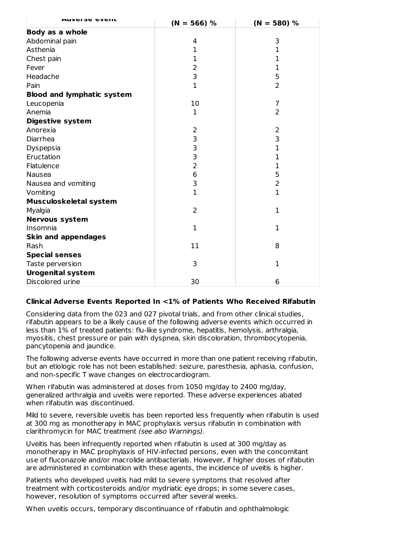| <b>AUVEISE CVEIIL</b>             | $(N = 566) %$  | $(N = 580) %$  |  |  |
|-----------------------------------|----------------|----------------|--|--|
| <b>Body as a whole</b>            |                |                |  |  |
| Abdominal pain                    | 4              | 3              |  |  |
| Asthenia                          | 1              | 1              |  |  |
| Chest pain                        | 1              | 1              |  |  |
| Fever                             | $\overline{2}$ | 1              |  |  |
| Headache                          | 3              | 5              |  |  |
| Pain                              | $\mathbf 1$    | $\overline{2}$ |  |  |
| <b>Blood and lymphatic system</b> |                |                |  |  |
| Leucopenia                        | 10             | $\overline{7}$ |  |  |
| Anemia                            | 1              | $\overline{2}$ |  |  |
| Digestive system                  |                |                |  |  |
| Anorexia                          | 2              | $\overline{2}$ |  |  |
| Diarrhea                          | 3              | 3              |  |  |
| Dyspepsia                         | 3              | 1              |  |  |
| Eructation                        | 3              | $\mathbf 1$    |  |  |
| Flatulence                        | $\overline{2}$ | 1              |  |  |
| Nausea                            | 6              | 5              |  |  |
| Nausea and vomiting               | 3              | $\overline{2}$ |  |  |
| Vomiting                          | $\mathbf{1}$   | $\mathbf{1}$   |  |  |
| Musculoskeletal system            |                |                |  |  |
| Myalgia                           | $\overline{2}$ | $\mathbf 1$    |  |  |
| Nervous system                    |                |                |  |  |
| Insomnia                          | 1              | 1              |  |  |
| <b>Skin and appendages</b>        |                |                |  |  |
| Rash                              | 11             | 8              |  |  |
| <b>Special senses</b>             |                |                |  |  |
| Taste perversion                  | 3              | 1              |  |  |
| <b>Urogenital system</b>          |                |                |  |  |
| Discolored urine                  | 30             | 6              |  |  |

### **Clinical Adverse Events Reported In <1% of Patients Who Received Rifabutin**

Considering data from the 023 and 027 pivotal trials, and from other clinical studies, rifabutin appears to be a likely cause of the following adverse events which occurred in less than 1% of treated patients: flu-like syndrome, hepatitis, hemolysis, arthralgia, myositis, chest pressure or pain with dyspnea, skin discoloration, thrombocytopenia, pancytopenia and jaundice.

The following adverse events have occurred in more than one patient receiving rifabutin, but an etiologic role has not been established: seizure, paresthesia, aphasia, confusion, and non-specific T wave changes on electrocardiogram.

When rifabutin was administered at doses from 1050 mg/day to 2400 mg/day, generalized arthralgia and uveitis were reported. These adverse experiences abated when rifabutin was discontinued.

Mild to severe, reversible uveitis has been reported less frequently when rifabutin is used at 300 mg as monotherapy in MAC prophylaxis versus rifabutin in combination with clarithromycin for MAC treatment (see also Warnings).

Uveitis has been infrequently reported when rifabutin is used at 300 mg/day as monotherapy in MAC prophylaxis of HIV-infected persons, even with the concomitant use of fluconazole and/or macrolide antibacterials. However, if higher doses of rifabutin are administered in combination with these agents, the incidence of uveitis is higher.

Patients who developed uveitis had mild to severe symptoms that resolved after treatment with corticosteroids and/or mydriatic eye drops; in some severe cases, however, resolution of symptoms occurred after several weeks.

When uveitis occurs, temporary discontinuance of rifabutin and ophthalmologic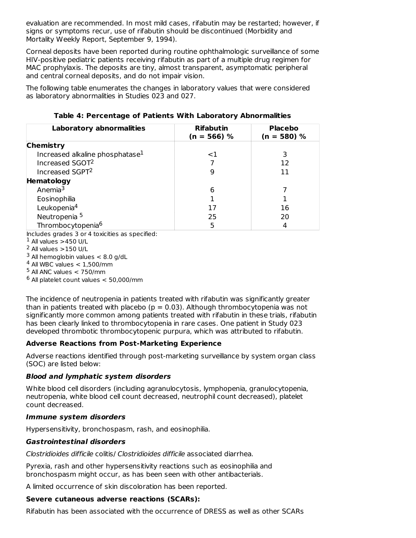evaluation are recommended. In most mild cases, rifabutin may be restarted; however, if signs or symptoms recur, use of rifabutin should be discontinued (Morbidity and Mortality Weekly Report, September 9, 1994).

Corneal deposits have been reported during routine ophthalmologic surveillance of some HIV-positive pediatric patients receiving rifabutin as part of a multiple drug regimen for MAC prophylaxis. The deposits are tiny, almost transparent, asymptomatic peripheral and central corneal deposits, and do not impair vision.

The following table enumerates the changes in laboratory values that were considered as laboratory abnormalities in Studies 023 and 027.

| <b>Laboratory abnormalities</b>             | <b>Rifabutin</b><br>$(n = 566)$ % | <b>Placebo</b><br>$(n = 580) %$ |  |  |
|---------------------------------------------|-----------------------------------|---------------------------------|--|--|
| <b>Chemistry</b>                            |                                   |                                 |  |  |
| Increased alkaline phosphatase <sup>1</sup> | ${<}1$                            | 3                               |  |  |
| Increased SGOT <sup>2</sup>                 |                                   | 12                              |  |  |
| Increased SGPT <sup>2</sup>                 | 9                                 | 11                              |  |  |
| Hematology                                  |                                   |                                 |  |  |
| Anemia <sup>3</sup>                         | 6                                 |                                 |  |  |
| Eosinophilia                                |                                   |                                 |  |  |
| Leukopenia <sup>4</sup>                     | 17                                | 16                              |  |  |
| Neutropenia <sup>5</sup>                    | 25                                | 20                              |  |  |
| Thrombocytopenia <sup>6</sup>               | 5                                 | 4                               |  |  |

**Table 4: Percentage of Patients With Laboratory Abnormalities**

Includes grades 3 or 4 toxicities as specified:

- $1$  All values  $>$ 450 U/L
- $2$  All values  $>$ 150 U/L

 $3$  All hemoglobin values  $< 8.0$  g/dL

 $^4$  All WBC values  $< 1,500/m$ m

 $^5$  All ANC values  $<$  750/mm

 $^6$  All platelet count values  $< 50,000$ /mm

The incidence of neutropenia in patients treated with rifabutin was significantly greater than in patients treated with placebo ( $p = 0.03$ ). Although thrombocytopenia was not significantly more common among patients treated with rifabutin in these trials, rifabutin has been clearly linked to thrombocytopenia in rare cases. One patient in Study 023 developed thrombotic thrombocytopenic purpura, which was attributed to rifabutin.

# **Adverse Reactions from Post-Marketing Experience**

Adverse reactions identified through post-marketing surveillance by system organ class (SOC) are listed below:

# **Blood and lymphatic system disorders**

White blood cell disorders (including agranulocytosis, lymphopenia, granulocytopenia, neutropenia, white blood cell count decreased, neutrophil count decreased), platelet count decreased.

# **Immune system disorders**

Hypersensitivity, bronchospasm, rash, and eosinophilia.

### **Gastrointestinal disorders**

Clostridioides difficile colitis/ Clostridioides difficile associated diarrhea.

Pyrexia, rash and other hypersensitivity reactions such as eosinophilia and bronchospasm might occur, as has been seen with other antibacterials.

A limited occurrence of skin discoloration has been reported.

# **Severe cutaneous adverse reactions (SCARs):**

Rifabutin has been associated with the occurrence of DRESS as well as other SCARs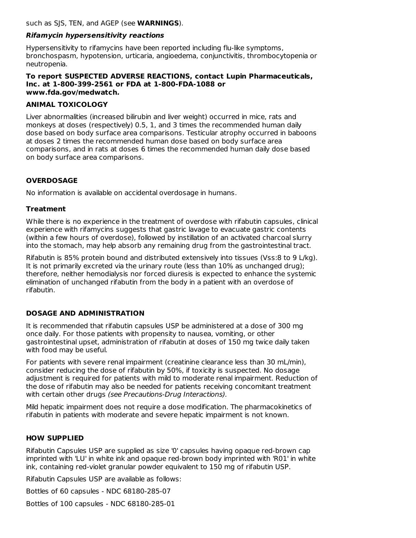such as SJS, TEN, and AGEP (see **WARNINGS**).

# **Rifamycin hypersensitivity reactions**

Hypersensitivity to rifamycins have been reported including flu-like symptoms, bronchospasm, hypotension, urticaria, angioedema, conjunctivitis, thrombocytopenia or neutropenia.

### **To report SUSPECTED ADVERSE REACTIONS, contact Lupin Pharmaceuticals, Inc. at 1-800-399-2561 or FDA at 1-800-FDA-1088 or www.fda.gov/medwatch.**

# **ANIMAL TOXICOLOGY**

Liver abnormalities (increased bilirubin and liver weight) occurred in mice, rats and monkeys at doses (respectively) 0.5, 1, and 3 times the recommended human daily dose based on body surface area comparisons. Testicular atrophy occurred in baboons at doses 2 times the recommended human dose based on body surface area comparisons, and in rats at doses 6 times the recommended human daily dose based on body surface area comparisons.

# **OVERDOSAGE**

No information is available on accidental overdosage in humans.

# **Treatment**

While there is no experience in the treatment of overdose with rifabutin capsules, clinical experience with rifamycins suggests that gastric lavage to evacuate gastric contents (within a few hours of overdose), followed by instillation of an activated charcoal slurry into the stomach, may help absorb any remaining drug from the gastrointestinal tract.

Rifabutin is 85% protein bound and distributed extensively into tissues (Vss:8 to 9 L/kg). It is not primarily excreted via the urinary route (less than 10% as unchanged drug); therefore, neither hemodialysis nor forced diuresis is expected to enhance the systemic elimination of unchanged rifabutin from the body in a patient with an overdose of rifabutin.

# **DOSAGE AND ADMINISTRATION**

It is recommended that rifabutin capsules USP be administered at a dose of 300 mg once daily. For those patients with propensity to nausea, vomiting, or other gastrointestinal upset, administration of rifabutin at doses of 150 mg twice daily taken with food may be useful.

For patients with severe renal impairment (creatinine clearance less than 30 mL/min), consider reducing the dose of rifabutin by 50%, if toxicity is suspected. No dosage adjustment is required for patients with mild to moderate renal impairment. Reduction of the dose of rifabutin may also be needed for patients receiving concomitant treatment with certain other drugs *(see Precautions-Drug Interactions)*.

Mild hepatic impairment does not require a dose modification. The pharmacokinetics of rifabutin in patients with moderate and severe hepatic impairment is not known.

# **HOW SUPPLIED**

Rifabutin Capsules USP are supplied as size '0' capsules having opaque red-brown cap imprinted with 'LU' in white ink and opaque red-brown body imprinted with 'R01' in white ink, containing red-violet granular powder equivalent to 150 mg of rifabutin USP.

Rifabutin Capsules USP are available as follows:

Bottles of 60 capsules - NDC 68180-285-07

Bottles of 100 capsules - NDC 68180-285-01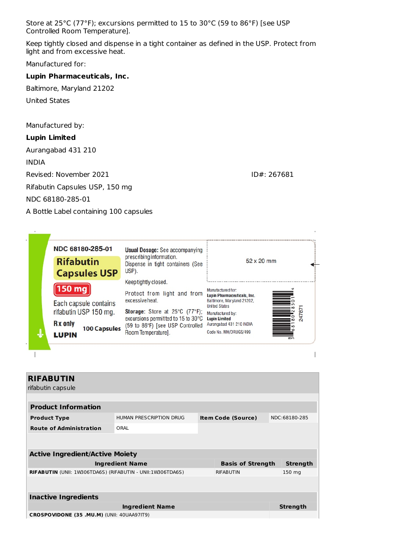Store at 25°C (77°F); excursions permitted to 15 to 30°C (59 to 86°F) [see USP Controlled Room Temperature].

Keep tightly closed and dispense in a tight container as defined in the USP. Protect from light and from excessive heat.

Manufactured for:

#### **Lupin Pharmaceuticals, Inc.**

Baltimore, Maryland 21202

United States

Manufactured by:

#### **Lupin Limited**

Aurangabad 431 210 INDIA Revised: November 2021 **ID#: 267681** Rifabutin Capsules USP, 150 mg NDC 68180-285-01 A Bottle Label containing 100 capsules



| <b>RIFABUTIN</b><br>rifabutin capsule                      |                         |                           |                  |  |                 |  |
|------------------------------------------------------------|-------------------------|---------------------------|------------------|--|-----------------|--|
|                                                            |                         |                           |                  |  |                 |  |
| <b>Product Information</b>                                 |                         |                           |                  |  |                 |  |
| <b>Product Type</b>                                        | HUMAN PRESCRIPTION DRUG | <b>Item Code (Source)</b> |                  |  | NDC:68180-285   |  |
| <b>Route of Administration</b>                             |                         |                           |                  |  |                 |  |
|                                                            |                         |                           |                  |  |                 |  |
| <b>Active Ingredient/Active Moiety</b>                     |                         |                           |                  |  |                 |  |
|                                                            | <b>Ingredient Name</b>  | <b>Basis of Strength</b>  |                  |  | <b>Strength</b> |  |
| RIFABUTIN (UNII: 1W306TDA6S) (RIFABUTIN - UNII:1W306TDA6S) |                         |                           | <b>RIFABUTIN</b> |  | 150 mg          |  |
|                                                            |                         |                           |                  |  |                 |  |
| <b>Inactive Ingredients</b>                                |                         |                           |                  |  |                 |  |
|                                                            | <b>Ingredient Name</b>  |                           |                  |  | <b>Strength</b> |  |
| CROSPOVIDONE (35 .MU.M) (UNII: 40UAA97IT9)                 |                         |                           |                  |  |                 |  |